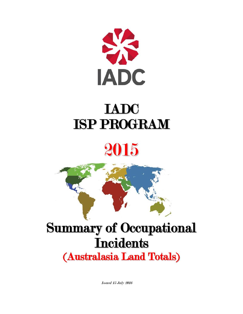

## IADC ISP PROGRAM

## 2015



### Summary of Occupational **Incidents** (Australasia Land Totals)

Issued 15 July 2016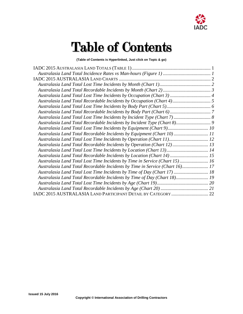

### Table of Contents

**(Table of Contents is Hyperlinked, Just click on Topic & go)**

| Australasia Land Total Lost Time Incidents by Occupation (Chart 3)  4<br>Australasia Land Total Lost Time Incidents by Equipment (Chart 9) 10<br>Australasia Land Total Recordable Incidents by Equipment (Chart 10)11<br>Australasia Land Total Lost Time Incidents by Operation (Chart 11) 12<br>Australasia Land Total Recordable Incidents by Operation (Chart 12) 13<br>Australasia Land Total Lost Time Incidents by Location (Chart 13) 14<br>Australasia Land Total Recordable Incidents by Location (Chart 14)  15<br>Australasia Land Total Lost Time Incidents by Time in Service (Chart 15) 16<br>Australasia Land Total Recordable Incidents by Time in Service (Chart 16) 17<br>Australasia Land Total Lost Time Incidents by Time of Day (Chart 17)  18<br>Australasia Land Total Recordable Incidents by Time of Day (Chart 18) 19 |  |
|----------------------------------------------------------------------------------------------------------------------------------------------------------------------------------------------------------------------------------------------------------------------------------------------------------------------------------------------------------------------------------------------------------------------------------------------------------------------------------------------------------------------------------------------------------------------------------------------------------------------------------------------------------------------------------------------------------------------------------------------------------------------------------------------------------------------------------------------------|--|
|                                                                                                                                                                                                                                                                                                                                                                                                                                                                                                                                                                                                                                                                                                                                                                                                                                                    |  |
|                                                                                                                                                                                                                                                                                                                                                                                                                                                                                                                                                                                                                                                                                                                                                                                                                                                    |  |
|                                                                                                                                                                                                                                                                                                                                                                                                                                                                                                                                                                                                                                                                                                                                                                                                                                                    |  |
|                                                                                                                                                                                                                                                                                                                                                                                                                                                                                                                                                                                                                                                                                                                                                                                                                                                    |  |
|                                                                                                                                                                                                                                                                                                                                                                                                                                                                                                                                                                                                                                                                                                                                                                                                                                                    |  |
|                                                                                                                                                                                                                                                                                                                                                                                                                                                                                                                                                                                                                                                                                                                                                                                                                                                    |  |
|                                                                                                                                                                                                                                                                                                                                                                                                                                                                                                                                                                                                                                                                                                                                                                                                                                                    |  |
|                                                                                                                                                                                                                                                                                                                                                                                                                                                                                                                                                                                                                                                                                                                                                                                                                                                    |  |
|                                                                                                                                                                                                                                                                                                                                                                                                                                                                                                                                                                                                                                                                                                                                                                                                                                                    |  |
|                                                                                                                                                                                                                                                                                                                                                                                                                                                                                                                                                                                                                                                                                                                                                                                                                                                    |  |
|                                                                                                                                                                                                                                                                                                                                                                                                                                                                                                                                                                                                                                                                                                                                                                                                                                                    |  |
|                                                                                                                                                                                                                                                                                                                                                                                                                                                                                                                                                                                                                                                                                                                                                                                                                                                    |  |
|                                                                                                                                                                                                                                                                                                                                                                                                                                                                                                                                                                                                                                                                                                                                                                                                                                                    |  |
|                                                                                                                                                                                                                                                                                                                                                                                                                                                                                                                                                                                                                                                                                                                                                                                                                                                    |  |
|                                                                                                                                                                                                                                                                                                                                                                                                                                                                                                                                                                                                                                                                                                                                                                                                                                                    |  |
|                                                                                                                                                                                                                                                                                                                                                                                                                                                                                                                                                                                                                                                                                                                                                                                                                                                    |  |
|                                                                                                                                                                                                                                                                                                                                                                                                                                                                                                                                                                                                                                                                                                                                                                                                                                                    |  |
|                                                                                                                                                                                                                                                                                                                                                                                                                                                                                                                                                                                                                                                                                                                                                                                                                                                    |  |
|                                                                                                                                                                                                                                                                                                                                                                                                                                                                                                                                                                                                                                                                                                                                                                                                                                                    |  |
|                                                                                                                                                                                                                                                                                                                                                                                                                                                                                                                                                                                                                                                                                                                                                                                                                                                    |  |
|                                                                                                                                                                                                                                                                                                                                                                                                                                                                                                                                                                                                                                                                                                                                                                                                                                                    |  |
|                                                                                                                                                                                                                                                                                                                                                                                                                                                                                                                                                                                                                                                                                                                                                                                                                                                    |  |
|                                                                                                                                                                                                                                                                                                                                                                                                                                                                                                                                                                                                                                                                                                                                                                                                                                                    |  |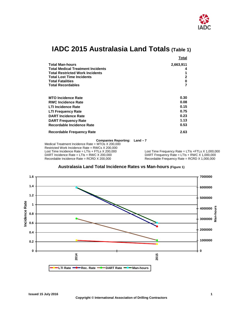

### **IADC 2015 Australasia Land Totals (Table 1)**

<span id="page-2-0"></span>

|                                                                                                                  | Total                        |
|------------------------------------------------------------------------------------------------------------------|------------------------------|
| <b>Total Man-hours</b>                                                                                           | 2,663,911                    |
| <b>Total Medical Treatment Incidents</b>                                                                         | 4                            |
| <b>Total Restricted Work Incidents</b>                                                                           |                              |
| <b>Total Lost Time Incidents</b>                                                                                 | 2                            |
| <b>Total Fatalities</b>                                                                                          | 0                            |
| <b>Total Recordables</b>                                                                                         |                              |
| <b>MTO Incidence Rate</b><br><b>RWC Incidence Rate</b><br><b>LTI Incidence Rate</b><br><b>LTI Frequency Rate</b> | 0.30<br>0.08<br>0.15<br>0.75 |
| <b>DART Incidence Rate</b>                                                                                       | 0.23                         |
| <b>DART Frequency Rate</b>                                                                                       | 1.13                         |
| Recordable Incidence Rate                                                                                        | 0.53                         |
| <b>Recordable Frequency Rate</b>                                                                                 | 2.63                         |

#### **Companies Reporting: Land – 7**

Medical Treatment Incidence Rate = MTOs X 200,000 Restricted Work Incidence Rate = RWCs X 200,000 Lost Time Incidence Rate = LTIs + FTLs X 200,000 Lost Time Frequency Rate = LTIs + FTLs X 1,000,000<br>DART Incidence Rate = LTIs + RWC X 200,000 DART Frequency Rate = LTIs + RWC X 1,000,000 Recordable Incidence Rate = RCRD X 200,000

DART Frequency Rate = LTIs + RWC X 1,000,000<br>Recordable Frequency Rate = RCRD X 1,000,000

<span id="page-2-1"></span>

#### **Australasia Land Total Incidence Rates vs Man-hours (Figure 1)**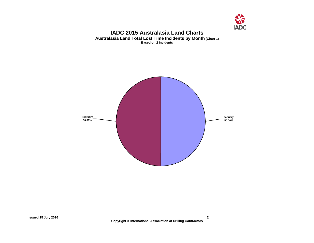

#### **IADC 2015 Australasia Land Charts Australasia Land Total Lost Time Incidents by Month (Chart 1) Based on 2 Incidents**

<span id="page-3-1"></span><span id="page-3-0"></span>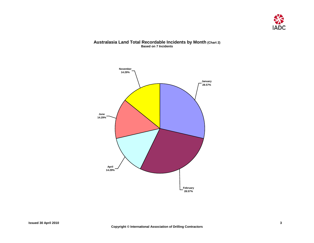

#### **Australasia Land Total Recordable Incidents by Month (Chart 2) Based on 7 Incidents**

<span id="page-4-0"></span>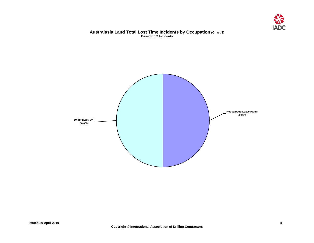

#### **Australasia Land Total Lost Time Incidents by Occupation (Chart 3) Based on 2 Incidents**

<span id="page-5-0"></span>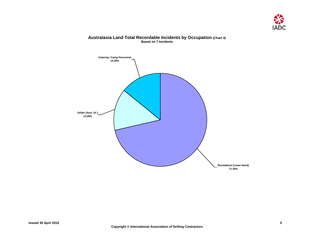

#### **Australasia Land Total Recordable Incidents by Occupation (Chart 4) Based on 7 Incidents**

<span id="page-6-0"></span>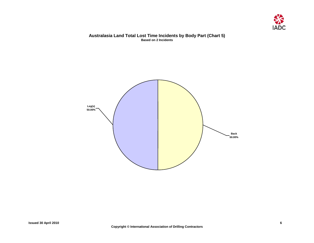

#### **Australasia Land Total Lost Time Incidents by Body Part (Chart 5) Based on 2 Incidents**

<span id="page-7-0"></span>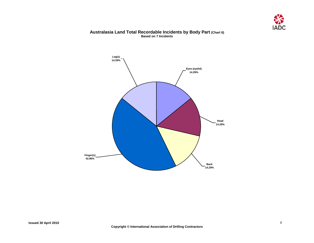

#### **Australasia Land Total Recordable Incidents by Body Part (Chart 6) Based on 7 Incidents**

<span id="page-8-0"></span>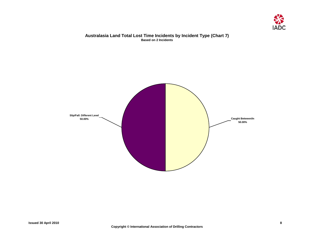

#### **Australasia Land Total Lost Time Incidents by Incident Type (Chart 7) Based on 2 Incidents**

<span id="page-9-0"></span>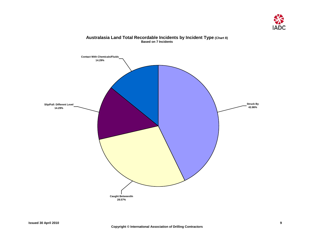

# <span id="page-10-0"></span>**Caught Between/In 28.57% Struck By 42.86% Slip/Fall: Different Level 14.29% Contact With Chemicals/Fluids 14.29%**

#### **Australasia Land Total Recordable Incidents by Incident Type (Chart 8) Based on 7 Incidents**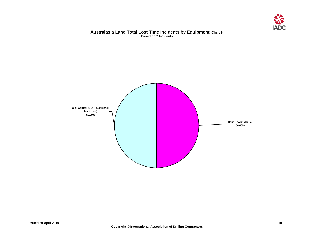

#### **Australasia Land Total Lost Time Incidents by Equipment (Chart 9) Based on 2 Incidents**

<span id="page-11-0"></span>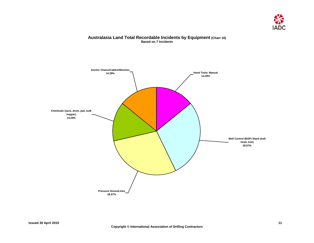

#### **Australasia Land Total Recordable Incidents by Equipment (Chart 10) Based on 7 Incidents**

<span id="page-12-0"></span>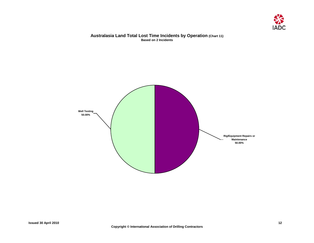

#### **Australasia Land Total Lost Time Incidents by Operation (Chart 11) Based on 2 Incidents**

<span id="page-13-0"></span>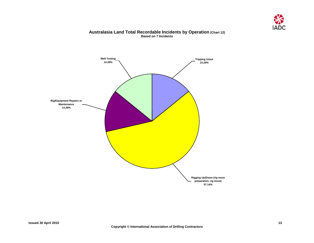

#### **Australasia Land Total Recordable Incidents by Operation (Chart 12) Based on 7 Incidents**

<span id="page-14-0"></span>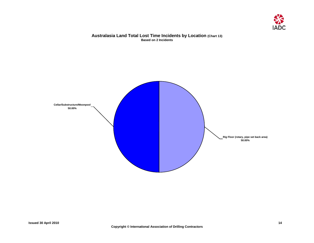

#### **Australasia Land Total Lost Time Incidents by Location (Chart 13) Based on 2 Incidents**

<span id="page-15-0"></span>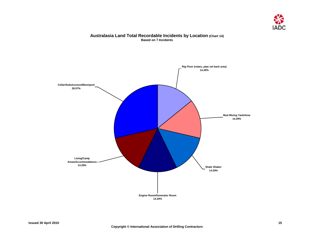

#### **Australasia Land Total Recordable Incidents by Location (Chart 14) Based on 7 Incidents**

<span id="page-16-0"></span>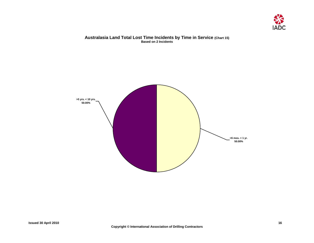

#### **Australasia Land Total Lost Time Incidents by Time in Service (Chart 15) Based on 2 Incidents**

<span id="page-17-0"></span>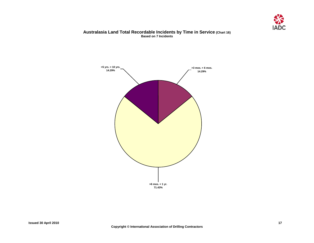

#### **Australasia Land Total Recordable Incidents by Time in Service (Chart 16) Based on 7 Incidents**

<span id="page-18-0"></span>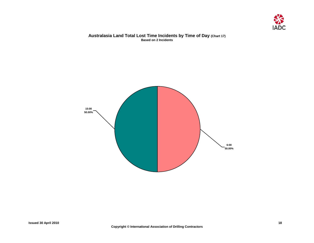

#### **Australasia Land Total Lost Time Incidents by Time of Day (Chart 17) Based on 2 Incidents**

<span id="page-19-0"></span>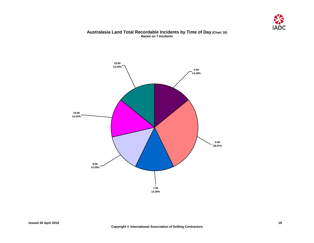

#### **Australasia Land Total Recordable Incidents by Time of Day (Chart 18) Based on 7 Incidents**

<span id="page-20-0"></span>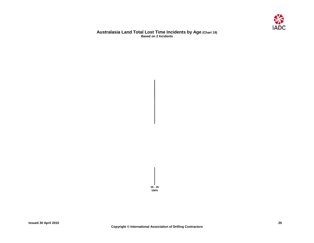

#### **Australasia Land Total Lost Time Incidents by Age (Chart 19) Based on 2 Incidents**